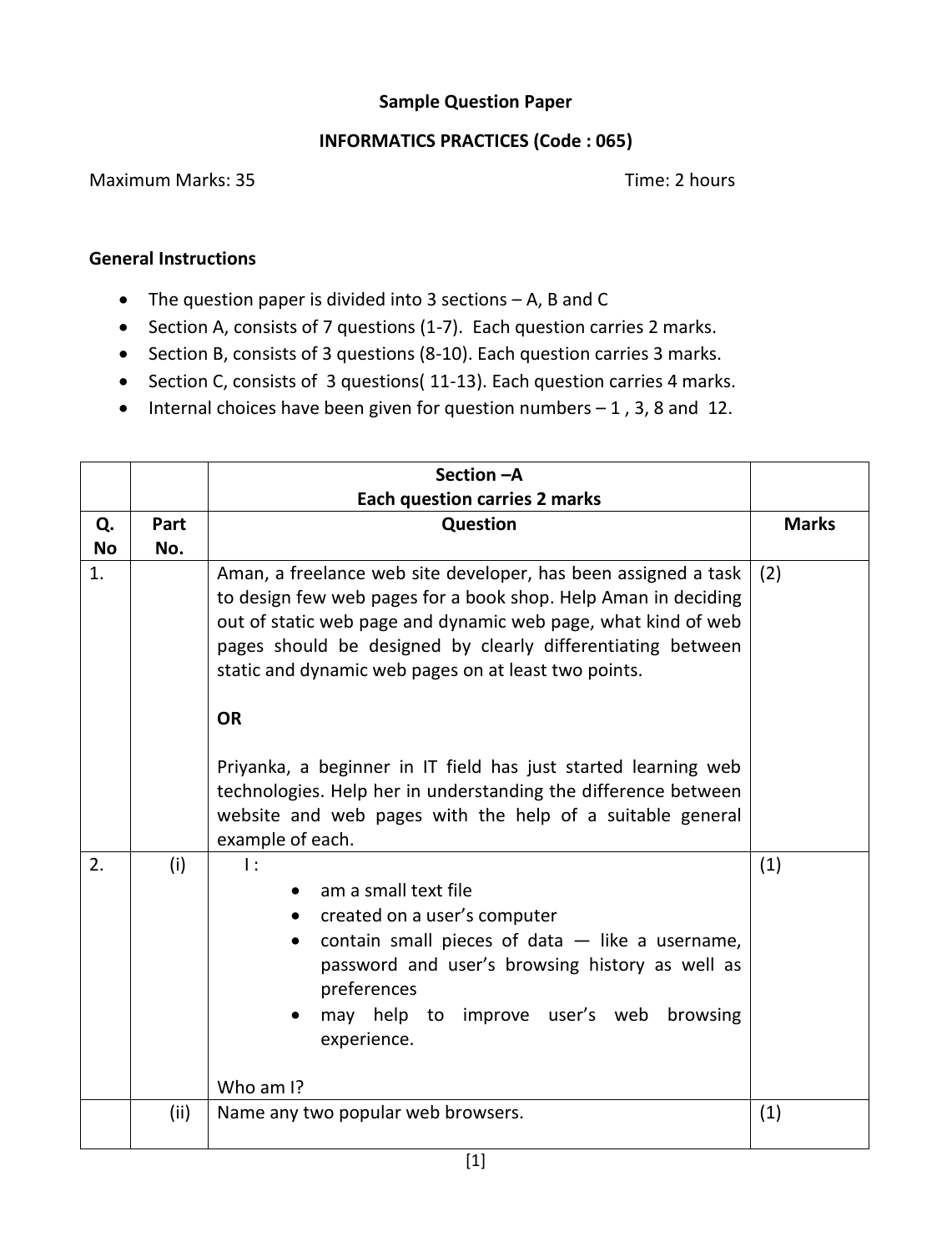## **Sample Question Paper**

## **INFORMATICS PRACTICES (Code : 065)**

## Maximum Marks: 35 Time: 2 hours

## **General Instructions**

- The question paper is divided into 3 sections A, B and C
- Section A, consists of 7 questions (1-7). Each question carries 2 marks.
- Section B, consists of 3 questions (8-10). Each question carries 3 marks.
- Section C, consists of 3 questions( 11-13). Each question carries 4 marks.
- $\bullet$  Internal choices have been given for question numbers  $-1$ , 3, 8 and 12.

|           |      | Section - A                                                                                                                                                                                                                                                                                                                                                                                                                                                                                                                                                |              |
|-----------|------|------------------------------------------------------------------------------------------------------------------------------------------------------------------------------------------------------------------------------------------------------------------------------------------------------------------------------------------------------------------------------------------------------------------------------------------------------------------------------------------------------------------------------------------------------------|--------------|
|           |      | <b>Each question carries 2 marks</b>                                                                                                                                                                                                                                                                                                                                                                                                                                                                                                                       |              |
| Q.        | Part | Question                                                                                                                                                                                                                                                                                                                                                                                                                                                                                                                                                   | <b>Marks</b> |
| <b>No</b> | No.  |                                                                                                                                                                                                                                                                                                                                                                                                                                                                                                                                                            |              |
| 1.        |      | Aman, a freelance web site developer, has been assigned a task<br>to design few web pages for a book shop. Help Aman in deciding<br>out of static web page and dynamic web page, what kind of web<br>pages should be designed by clearly differentiating between<br>static and dynamic web pages on at least two points.<br><b>OR</b><br>Priyanka, a beginner in IT field has just started learning web<br>technologies. Help her in understanding the difference between<br>website and web pages with the help of a suitable general<br>example of each. | (2)          |
| 2.        | (i)  | $\mathbf{I}$ :<br>am a small text file<br>created on a user's computer<br>contain small pieces of data $-$ like a username,<br>$\bullet$<br>password and user's browsing history as well as<br>preferences<br>may help to improve user's web<br>browsing<br>experience.<br>Who am I?                                                                                                                                                                                                                                                                       | (1)          |
|           | (ii) | Name any two popular web browsers.                                                                                                                                                                                                                                                                                                                                                                                                                                                                                                                         | (1)          |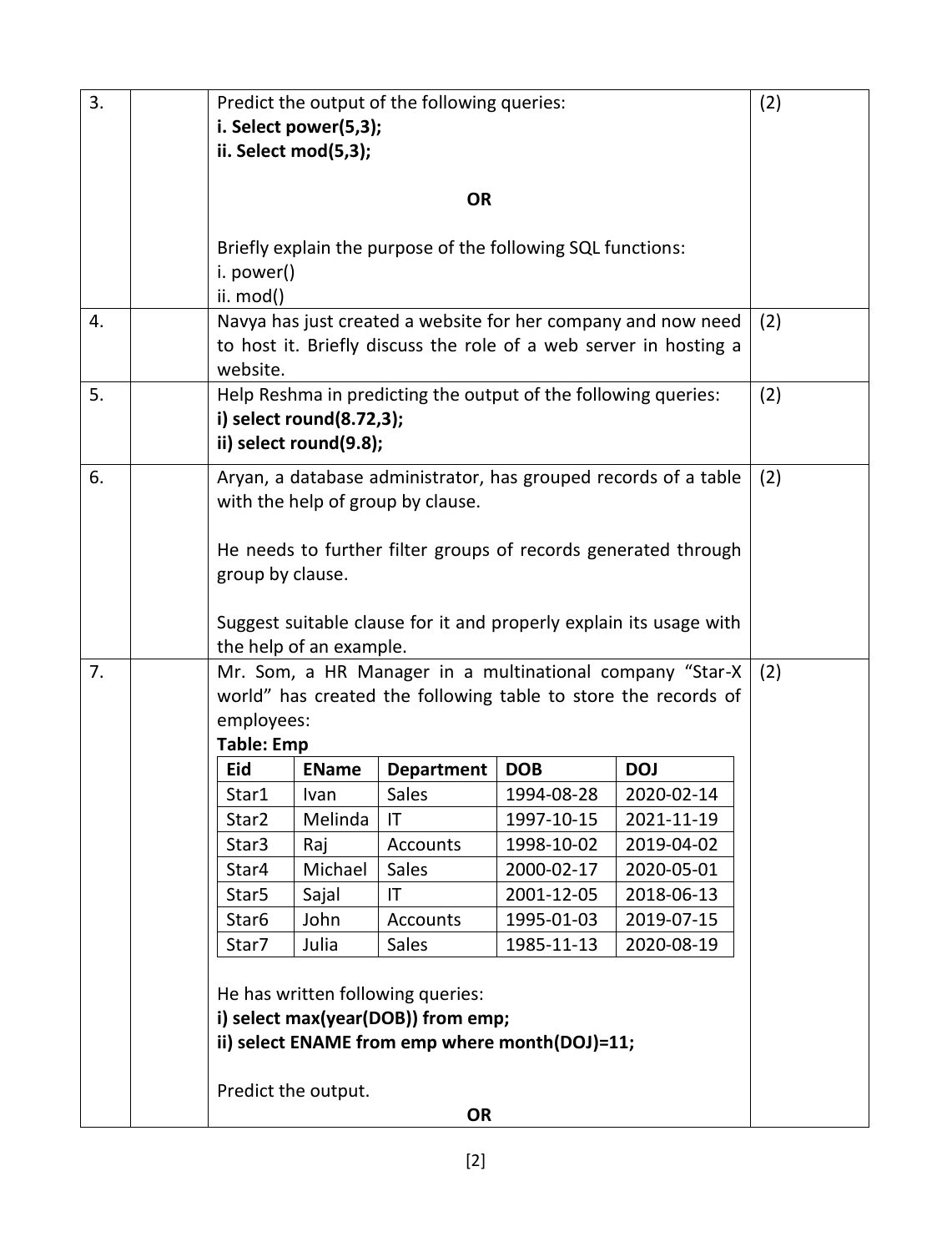| 3. |                                                                                                                           | Predict the output of the following queries:<br>i. Select power(5,3);<br>ii. Select mod(5,3);                                                                                       |              |                   |            |            | (2) |
|----|---------------------------------------------------------------------------------------------------------------------------|-------------------------------------------------------------------------------------------------------------------------------------------------------------------------------------|--------------|-------------------|------------|------------|-----|
|    |                                                                                                                           | <b>OR</b>                                                                                                                                                                           |              |                   |            |            |     |
|    |                                                                                                                           | Briefly explain the purpose of the following SQL functions:<br>i. power()<br>ii. mod()                                                                                              |              |                   |            |            |     |
| 4. |                                                                                                                           | Navya has just created a website for her company and now need<br>to host it. Briefly discuss the role of a web server in hosting a<br>website.                                      |              |                   |            | (2)        |     |
| 5. |                                                                                                                           | Help Reshma in predicting the output of the following queries:<br>(2)<br>i) select round(8.72,3);<br>ii) select round(9.8);                                                         |              |                   |            |            |     |
| 6. |                                                                                                                           | Aryan, a database administrator, has grouped records of a table<br>(2)<br>with the help of group by clause.                                                                         |              |                   |            |            |     |
|    |                                                                                                                           | He needs to further filter groups of records generated through<br>group by clause.<br>Suggest suitable clause for it and properly explain its usage with<br>the help of an example. |              |                   |            |            |     |
| 7. |                                                                                                                           | Mr. Som, a HR Manager in a multinational company "Star-X<br>world" has created the following table to store the records of<br>employees:<br><b>Table: Emp</b>                       |              |                   |            |            |     |
|    |                                                                                                                           | Eid                                                                                                                                                                                 | <b>EName</b> | <b>Department</b> | <b>DOB</b> | <b>DOJ</b> |     |
|    |                                                                                                                           | Star1                                                                                                                                                                               | Ivan         | Sales             | 1994-08-28 | 2020-02-14 |     |
|    |                                                                                                                           | Star2                                                                                                                                                                               | Melinda      | IT                | 1997-10-15 | 2021-11-19 |     |
|    |                                                                                                                           | Star3                                                                                                                                                                               | Raj          | Accounts          | 1998-10-02 | 2019-04-02 |     |
|    |                                                                                                                           | Star4                                                                                                                                                                               | Michael      | Sales             | 2000-02-17 | 2020-05-01 |     |
|    |                                                                                                                           | Star <sub>5</sub>                                                                                                                                                                   | Sajal        | IT                | 2001-12-05 | 2018-06-13 |     |
|    |                                                                                                                           | Star <sub>6</sub>                                                                                                                                                                   | John         | <b>Accounts</b>   | 1995-01-03 | 2019-07-15 |     |
|    |                                                                                                                           | Star7                                                                                                                                                                               | Julia        | Sales             | 1985-11-13 | 2020-08-19 |     |
|    | He has written following queries:<br>i) select max(year(DOB)) from emp;<br>ii) select ENAME from emp where month(DOJ)=11; |                                                                                                                                                                                     |              |                   |            |            |     |
|    |                                                                                                                           | Predict the output.<br><b>OR</b>                                                                                                                                                    |              |                   |            |            |     |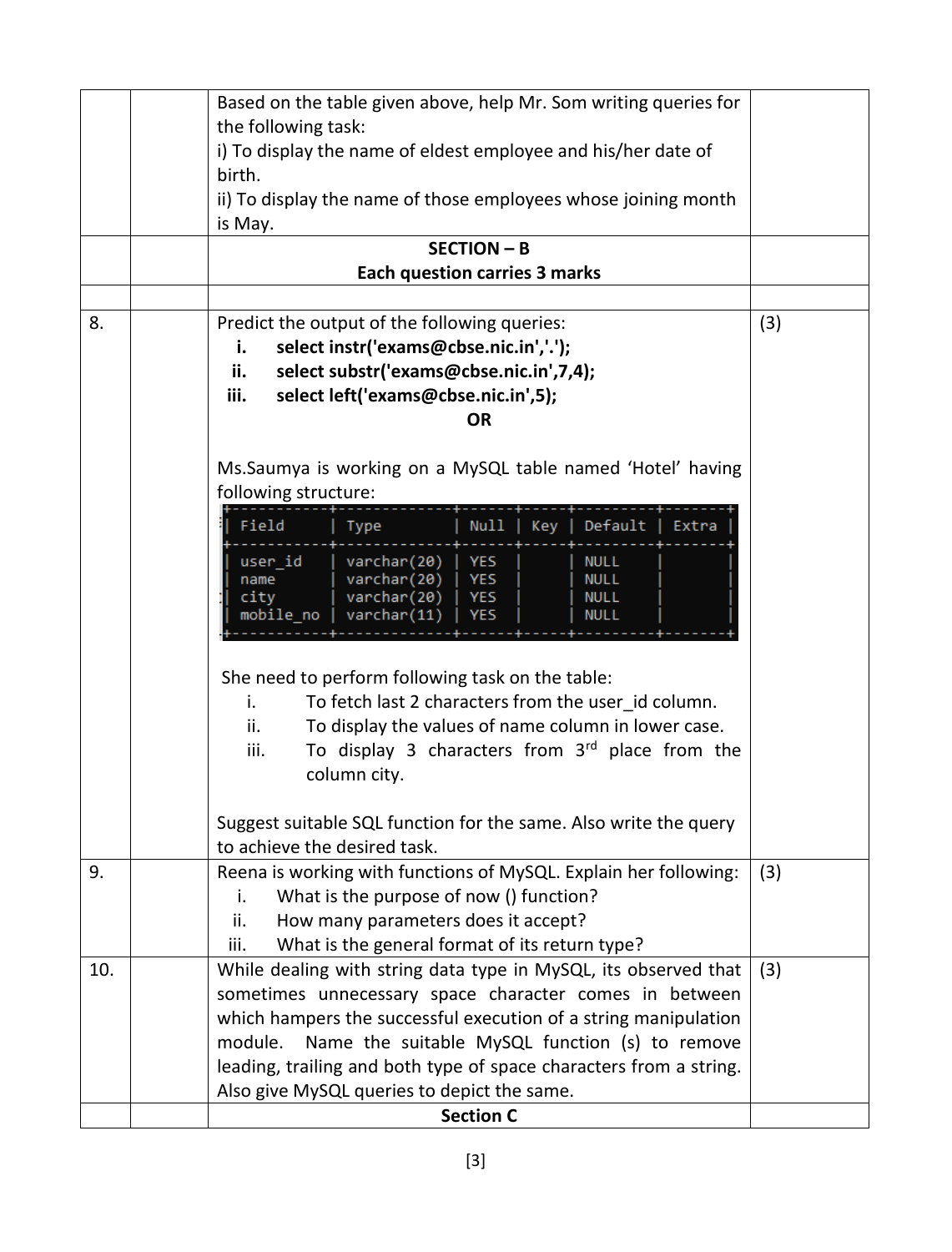|     | Based on the table given above, help Mr. Som writing queries for           |     |
|-----|----------------------------------------------------------------------------|-----|
|     | the following task:                                                        |     |
|     | i) To display the name of eldest employee and his/her date of              |     |
|     | birth.                                                                     |     |
|     | ii) To display the name of those employees whose joining month             |     |
|     | is May.                                                                    |     |
|     | <b>SECTION - B</b>                                                         |     |
|     | <b>Each question carries 3 marks</b>                                       |     |
|     |                                                                            |     |
| 8.  | Predict the output of the following queries:                               | (3) |
|     | select instr('exams@cbse.nic.in','.');<br>i.                               |     |
|     | select substr('exams@cbse.nic.in',7,4);<br>ii.                             |     |
|     | iii.<br>select left('exams@cbse.nic.in',5);                                |     |
|     | <b>OR</b>                                                                  |     |
|     | Ms.Saumya is working on a MySQL table named 'Hotel' having                 |     |
|     | following structure:                                                       |     |
|     |                                                                            |     |
|     | Field<br>Default<br>Null<br>Type<br>Key<br>Extra                           |     |
|     | user_id<br>varchar(20)<br><b>YES</b><br><b>NULL</b>                        |     |
|     | varchar(20)<br>YES<br><b>NULL</b><br>name<br>city<br><b>NULL</b>           |     |
|     | varchar(20)<br>YES<br>mobile_no   varchar(11)<br><b>YES</b><br><b>NULL</b> |     |
|     |                                                                            |     |
|     |                                                                            |     |
|     | She need to perform following task on the table:                           |     |
|     | To fetch last 2 characters from the user_id column.<br>i.                  |     |
|     | To display the values of name column in lower case.<br>ii.                 |     |
|     | To display 3 characters from $3rd$ place from the<br>iii.                  |     |
|     | column city.                                                               |     |
|     | Suggest suitable SQL function for the same. Also write the query           |     |
|     | to achieve the desired task.                                               |     |
| 9.  | Reena is working with functions of MySQL. Explain her following:           | (3) |
|     | What is the purpose of now () function?<br>i.                              |     |
|     | How many parameters does it accept?<br>ii.                                 |     |
|     | What is the general format of its return type?<br>iii.                     |     |
| 10. | While dealing with string data type in MySQL, its observed that            | (3) |
|     | sometimes unnecessary space character comes in between                     |     |
|     | which hampers the successful execution of a string manipulation            |     |
|     | module.<br>Name the suitable MySQL function (s) to remove                  |     |
|     | leading, trailing and both type of space characters from a string.         |     |
|     | Also give MySQL queries to depict the same.                                |     |
|     | <b>Section C</b>                                                           |     |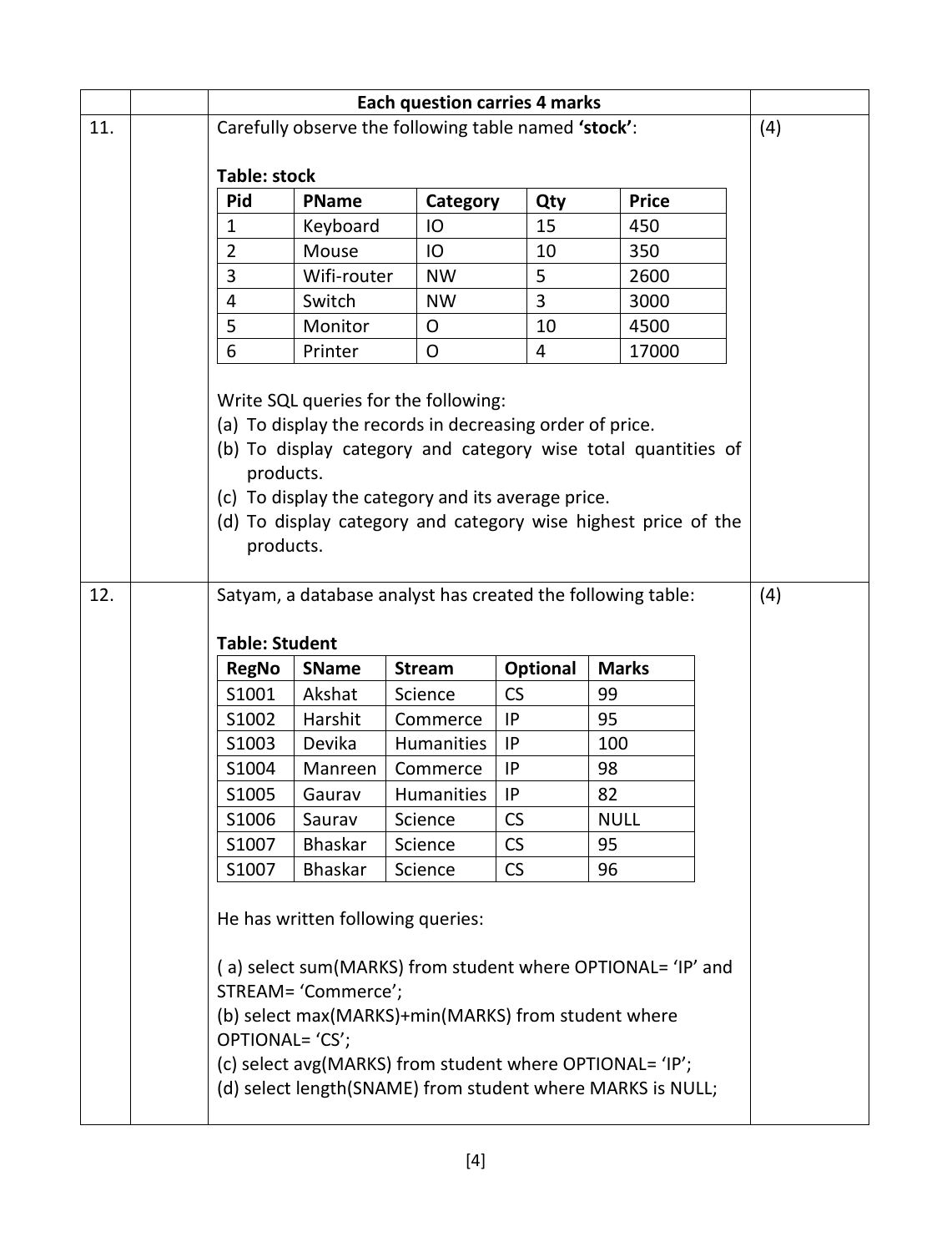|                                                                                                                                                                                                                                                                                                                     |                                                                                    | <b>Each question carries 4 marks</b>                        |                     |                                                                                          |           |                                                                                                                                                                                       |     |  |
|---------------------------------------------------------------------------------------------------------------------------------------------------------------------------------------------------------------------------------------------------------------------------------------------------------------------|------------------------------------------------------------------------------------|-------------------------------------------------------------|---------------------|------------------------------------------------------------------------------------------|-----------|---------------------------------------------------------------------------------------------------------------------------------------------------------------------------------------|-----|--|
| 11.                                                                                                                                                                                                                                                                                                                 |                                                                                    | Carefully observe the following table named 'stock':        |                     |                                                                                          |           |                                                                                                                                                                                       | (4) |  |
|                                                                                                                                                                                                                                                                                                                     | <b>Table: stock</b>                                                                |                                                             |                     |                                                                                          |           |                                                                                                                                                                                       |     |  |
|                                                                                                                                                                                                                                                                                                                     |                                                                                    | <b>Pid</b>                                                  | <b>PName</b>        | Category                                                                                 | Qty       | <b>Price</b>                                                                                                                                                                          |     |  |
|                                                                                                                                                                                                                                                                                                                     |                                                                                    | 1                                                           | Keyboard            | IO                                                                                       | 15        | 450                                                                                                                                                                                   |     |  |
|                                                                                                                                                                                                                                                                                                                     |                                                                                    | $\overline{2}$                                              | Mouse               | IO                                                                                       | 10        | 350                                                                                                                                                                                   |     |  |
|                                                                                                                                                                                                                                                                                                                     |                                                                                    | 3                                                           | Wifi-router         | <b>NW</b>                                                                                | 5         | 2600                                                                                                                                                                                  |     |  |
|                                                                                                                                                                                                                                                                                                                     |                                                                                    | 4                                                           | Switch              | <b>NW</b>                                                                                | 3         | 3000                                                                                                                                                                                  |     |  |
|                                                                                                                                                                                                                                                                                                                     |                                                                                    | 5                                                           | Monitor             | O                                                                                        | 10        | 4500                                                                                                                                                                                  |     |  |
|                                                                                                                                                                                                                                                                                                                     |                                                                                    | 6                                                           | Printer             | O                                                                                        | 4         | 17000                                                                                                                                                                                 |     |  |
| Write SQL queries for the following:<br>(a) To display the records in decreasing order of price.<br>(b) To display category and category wise total quantities of<br>products.<br>(c) To display the category and its average price.<br>(d) To display category and category wise highest price of the<br>products. |                                                                                    |                                                             |                     |                                                                                          |           |                                                                                                                                                                                       |     |  |
| 12.                                                                                                                                                                                                                                                                                                                 |                                                                                    | Satyam, a database analyst has created the following table: |                     |                                                                                          |           |                                                                                                                                                                                       | (4) |  |
|                                                                                                                                                                                                                                                                                                                     | <b>Table: Student</b><br>Optional<br><b>Marks</b><br><b>SName</b><br><b>Stream</b> |                                                             |                     |                                                                                          |           |                                                                                                                                                                                       |     |  |
|                                                                                                                                                                                                                                                                                                                     |                                                                                    | <b>RegNo</b><br>S1001                                       | Akshat              | Science                                                                                  | <b>CS</b> | 99                                                                                                                                                                                    |     |  |
|                                                                                                                                                                                                                                                                                                                     |                                                                                    | S1002                                                       | Harshit             | Commerce                                                                                 | IP        | 95                                                                                                                                                                                    |     |  |
|                                                                                                                                                                                                                                                                                                                     |                                                                                    | S1003                                                       | Devika              | <b>Humanities</b>                                                                        | IP.       | 100                                                                                                                                                                                   |     |  |
|                                                                                                                                                                                                                                                                                                                     |                                                                                    | S1004                                                       | Manreen             | Commerce                                                                                 | IP        | 98                                                                                                                                                                                    |     |  |
|                                                                                                                                                                                                                                                                                                                     |                                                                                    | S1005                                                       | Gaurav              | <b>Humanities</b>                                                                        | IP        | 82                                                                                                                                                                                    |     |  |
|                                                                                                                                                                                                                                                                                                                     |                                                                                    | S1006                                                       | Saurav              | Science                                                                                  | CS        | <b>NULL</b>                                                                                                                                                                           |     |  |
|                                                                                                                                                                                                                                                                                                                     |                                                                                    | S1007                                                       | <b>Bhaskar</b>      | Science                                                                                  | CS        | 95                                                                                                                                                                                    |     |  |
|                                                                                                                                                                                                                                                                                                                     |                                                                                    | S1007                                                       | <b>Bhaskar</b>      | Science                                                                                  | <b>CS</b> | 96                                                                                                                                                                                    |     |  |
|                                                                                                                                                                                                                                                                                                                     |                                                                                    | OPTIONAL= 'CS';                                             | STREAM= 'Commerce'; | He has written following queries:<br>(b) select max(MARKS)+min(MARKS) from student where |           | (a) select sum(MARKS) from student where OPTIONAL= 'IP' and<br>(c) select avg(MARKS) from student where OPTIONAL= 'IP';<br>(d) select length(SNAME) from student where MARKS is NULL; |     |  |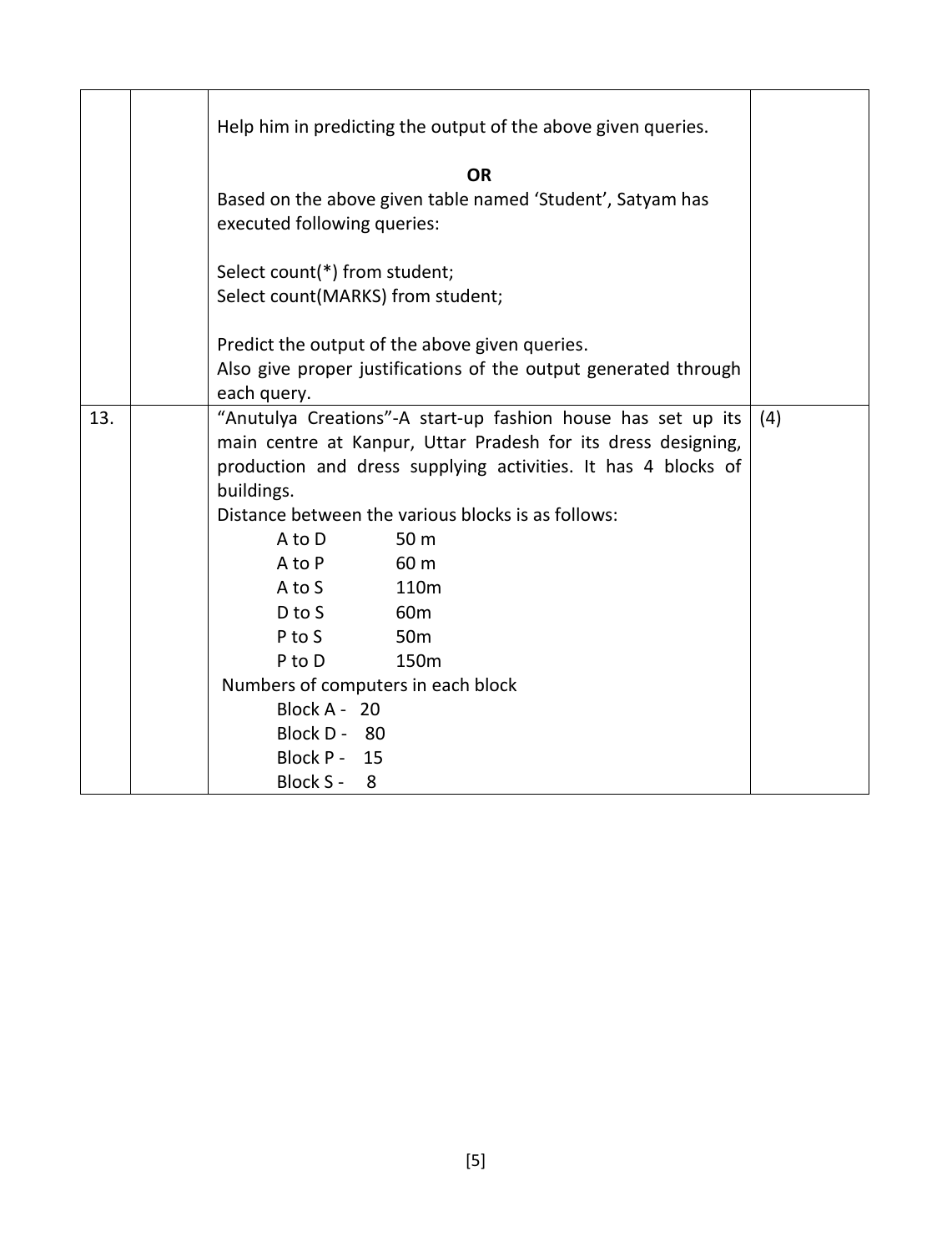|     | Help him in predicting the output of the above given queries.<br><b>OR</b><br>Based on the above given table named 'Student', Satyam has<br>executed following queries:                                                                                                                                                                                                                                                                                                                                                              |     |
|-----|--------------------------------------------------------------------------------------------------------------------------------------------------------------------------------------------------------------------------------------------------------------------------------------------------------------------------------------------------------------------------------------------------------------------------------------------------------------------------------------------------------------------------------------|-----|
|     | Select count(*) from student;                                                                                                                                                                                                                                                                                                                                                                                                                                                                                                        |     |
|     | Select count(MARKS) from student;                                                                                                                                                                                                                                                                                                                                                                                                                                                                                                    |     |
|     |                                                                                                                                                                                                                                                                                                                                                                                                                                                                                                                                      |     |
|     | Predict the output of the above given queries.                                                                                                                                                                                                                                                                                                                                                                                                                                                                                       |     |
|     | Also give proper justifications of the output generated through<br>each query.                                                                                                                                                                                                                                                                                                                                                                                                                                                       |     |
| 13. | "Anutulya Creations"-A start-up fashion house has set up its<br>main centre at Kanpur, Uttar Pradesh for its dress designing,<br>production and dress supplying activities. It has 4 blocks of<br>buildings.<br>Distance between the various blocks is as follows:<br>50 m<br>A to D<br>A to P<br>60 m<br>A to S<br>110 <sub>m</sub><br>D to S<br>60 <sub>m</sub><br>P to S<br>50 <sub>m</sub><br>150 <sub>m</sub><br>P to D<br>Numbers of computers in each block<br>Block A - 20<br>Block D - 80<br>Block P - 15<br>Block S -<br>8 | (4) |